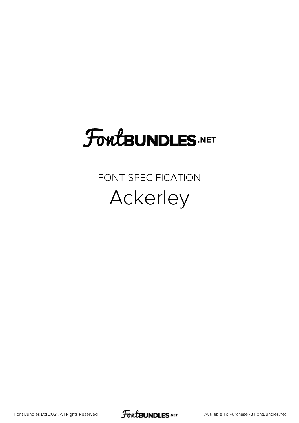## **FoutBUNDLES.NET**

FONT SPECIFICATION Ackerley

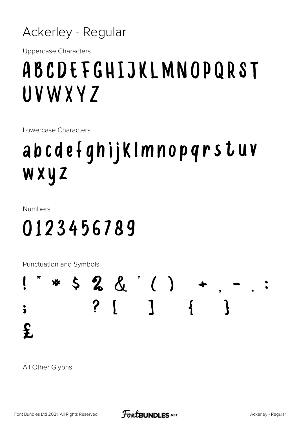

**Uppercase Characters** 

## ABCDEFGHIJKLMNOPQRST UVWXYZ

Lowercase Characters

## abcdefghijklmnopgrstuv WXYZ

**Numbers** 

## 0123456789

Punctuation and Symbols



All Other Glyphs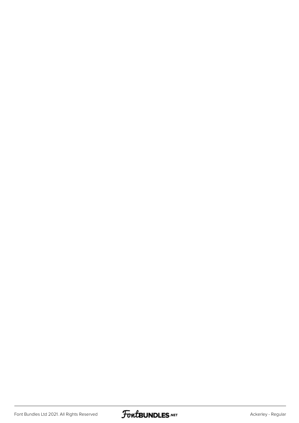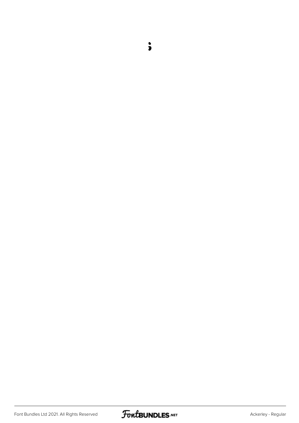